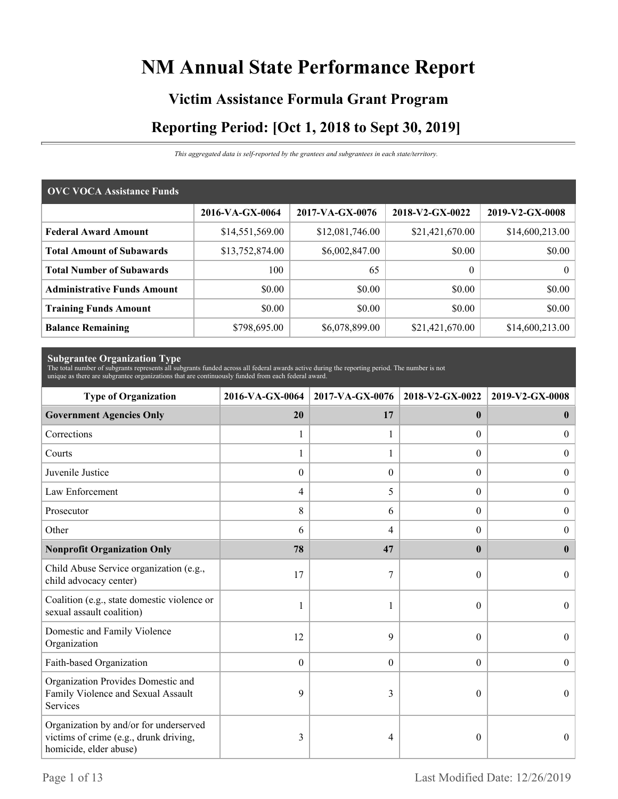# **NM Annual State Performance Report**

# **Victim Assistance Formula Grant Program Reporting Period: [Oct 1, 2018 to Sept 30, 2019]**

*This aggregated data is self-reported by the grantees and subgrantees in each state/territory.*

| <b>OVC VOCA Assistance Funds</b>   |                 |                 |                 |                 |  |  |
|------------------------------------|-----------------|-----------------|-----------------|-----------------|--|--|
|                                    | 2016-VA-GX-0064 | 2017-VA-GX-0076 | 2018-V2-GX-0022 | 2019-V2-GX-0008 |  |  |
| <b>Federal Award Amount</b>        | \$14,551,569.00 | \$12,081,746.00 | \$21,421,670.00 | \$14,600,213.00 |  |  |
| <b>Total Amount of Subawards</b>   | \$13,752,874.00 | \$6,002,847.00  | \$0.00          | \$0.00          |  |  |
| <b>Total Number of Subawards</b>   | 100             | 65              | $\overline{0}$  | $\Omega$        |  |  |
| <b>Administrative Funds Amount</b> | \$0.00          | \$0.00          | \$0.00          | \$0.00          |  |  |
| <b>Training Funds Amount</b>       | \$0.00          | \$0.00          | \$0.00          | \$0.00          |  |  |
| <b>Balance Remaining</b>           | \$798,695.00    | \$6,078,899.00  | \$21,421,670.00 | \$14,600,213.00 |  |  |

**Subgrantee Organization Type** The total number of subgrants represents all subgrants funded across all federal awards active during the reporting period. The number is not unique as there are subgrantee organizations that are continuously funded from each federal award.

| <b>Type of Organization</b>                                                                                | 2016-VA-GX-0064  | 2017-VA-GX-0076  | 2018-V2-GX-0022  | 2019-V2-GX-0008  |
|------------------------------------------------------------------------------------------------------------|------------------|------------------|------------------|------------------|
| <b>Government Agencies Only</b>                                                                            | 20               | 17               | $\mathbf{0}$     | $\bf{0}$         |
| Corrections                                                                                                | 1                |                  | $\Omega$         | $\overline{0}$   |
| Courts                                                                                                     | 1                |                  | $\overline{0}$   | $\mathbf{0}$     |
| Juvenile Justice                                                                                           | $\boldsymbol{0}$ | $\overline{0}$   | $\overline{0}$   | $\boldsymbol{0}$ |
| Law Enforcement                                                                                            | 4                | 5                | $\overline{0}$   | $\boldsymbol{0}$ |
| Prosecutor                                                                                                 | 8                | 6                | $\Omega$         | $\overline{0}$   |
| Other                                                                                                      | 6                | 4                | 0                | $\theta$         |
| <b>Nonprofit Organization Only</b>                                                                         | 78               | 47               | $\mathbf{0}$     | $\mathbf{0}$     |
| Child Abuse Service organization (e.g.,<br>child advocacy center)                                          | 17               | 7                | $\theta$         | $\Omega$         |
| Coalition (e.g., state domestic violence or<br>sexual assault coalition)                                   | 1                |                  | $\theta$         | $\Omega$         |
| Domestic and Family Violence<br>Organization                                                               | 12               | 9                | $\theta$         | $\Omega$         |
| Faith-based Organization                                                                                   | $\boldsymbol{0}$ | $\boldsymbol{0}$ | $\boldsymbol{0}$ | $\theta$         |
| Organization Provides Domestic and<br>Family Violence and Sexual Assault<br>Services                       | 9                | 3                | $\theta$         | $\theta$         |
| Organization by and/or for underserved<br>victims of crime (e.g., drunk driving,<br>homicide, elder abuse) | 3                | 4                | $\theta$         | $\theta$         |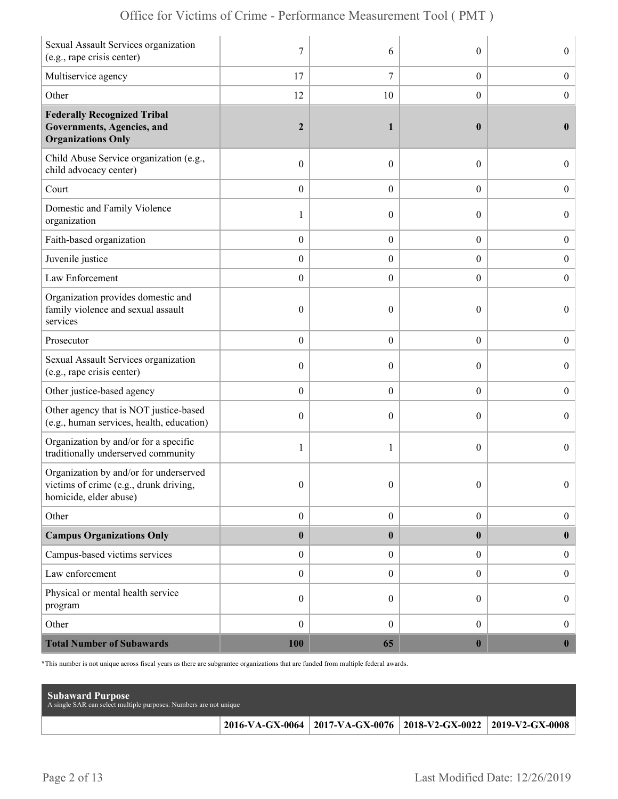| Sexual Assault Services organization<br>(e.g., rape crisis center)                                        | $\overline{7}$   | 6                | $\theta$         | $\overline{0}$   |
|-----------------------------------------------------------------------------------------------------------|------------------|------------------|------------------|------------------|
| Multiservice agency                                                                                       | 17               | 7                | $\boldsymbol{0}$ | $\boldsymbol{0}$ |
| Other                                                                                                     | 12               | 10               | $\boldsymbol{0}$ | $\boldsymbol{0}$ |
| <b>Federally Recognized Tribal</b><br>Governments, Agencies, and<br><b>Organizations Only</b>             | $\boldsymbol{2}$ | 1                | $\bf{0}$         | $\mathbf{0}$     |
| Child Abuse Service organization (e.g.,<br>child advocacy center)                                         | $\boldsymbol{0}$ | $\theta$         | $\theta$         | $\overline{0}$   |
| Court                                                                                                     | $\boldsymbol{0}$ | $\theta$         | $\overline{0}$   | $\boldsymbol{0}$ |
| Domestic and Family Violence<br>organization                                                              | 1                | $\theta$         | $\theta$         | $\overline{0}$   |
| Faith-based organization                                                                                  | $\boldsymbol{0}$ | $\boldsymbol{0}$ | $\boldsymbol{0}$ | $\boldsymbol{0}$ |
| Juvenile justice                                                                                          | $\boldsymbol{0}$ | $\overline{0}$   | $\boldsymbol{0}$ | $\boldsymbol{0}$ |
| Law Enforcement                                                                                           | $\boldsymbol{0}$ | $\theta$         | $\overline{0}$   | $\mathbf{0}$     |
| Organization provides domestic and<br>family violence and sexual assault<br>services                      | $\boldsymbol{0}$ | $\mathbf{0}$     | $\theta$         | $\overline{0}$   |
| Prosecutor                                                                                                | $\boldsymbol{0}$ | $\theta$         | $\overline{0}$   | $\boldsymbol{0}$ |
| Sexual Assault Services organization<br>(e.g., rape crisis center)                                        | $\boldsymbol{0}$ | $\theta$         | $\theta$         | $\overline{0}$   |
| Other justice-based agency                                                                                | $\boldsymbol{0}$ | $\boldsymbol{0}$ | $\boldsymbol{0}$ | $\boldsymbol{0}$ |
| Other agency that is NOT justice-based<br>(e.g., human services, health, education)                       | $\boldsymbol{0}$ | $\theta$         | $\theta$         | $\boldsymbol{0}$ |
| Organization by and/or for a specific<br>traditionally underserved community                              | 1                | 1                | $\theta$         | $\overline{0}$   |
| Organization by and/or for underserved<br>victims of crime (e.g., drunk driving<br>homicide, elder abuse) | $\boldsymbol{0}$ | $\boldsymbol{0}$ | $\Omega$         | $\Omega$         |
| Other                                                                                                     | $\boldsymbol{0}$ | $\boldsymbol{0}$ | $\boldsymbol{0}$ | $\boldsymbol{0}$ |
| <b>Campus Organizations Only</b>                                                                          | $\pmb{0}$        | $\bf{0}$         | $\bf{0}$         | $\bf{0}$         |
| Campus-based victims services                                                                             | $\boldsymbol{0}$ | $\boldsymbol{0}$ | $\overline{0}$   | $\boldsymbol{0}$ |
| Law enforcement                                                                                           | $\boldsymbol{0}$ | $\mathbf{0}$     | $\overline{0}$   | $\boldsymbol{0}$ |
| Physical or mental health service<br>program                                                              | $\boldsymbol{0}$ | $\boldsymbol{0}$ | $\overline{0}$   | $\boldsymbol{0}$ |
| Other                                                                                                     | $\boldsymbol{0}$ | $\mathbf{0}$     | $\boldsymbol{0}$ | $\boldsymbol{0}$ |
| <b>Total Number of Subawards</b>                                                                          | 100              | 65               | $\bf{0}$         | $\boldsymbol{0}$ |

\*This number is not unique across fiscal years as there are subgrantee organizations that are funded from multiple federal awards.

| <b>Subaward Purpose</b><br>A single SAR can select multiple purposes. Numbers are not unique |                                                                 |  |
|----------------------------------------------------------------------------------------------|-----------------------------------------------------------------|--|
|                                                                                              | 2016-VA-GX-0064 2017-VA-GX-0076 2018-V2-GX-0022 2019-V2-GX-0008 |  |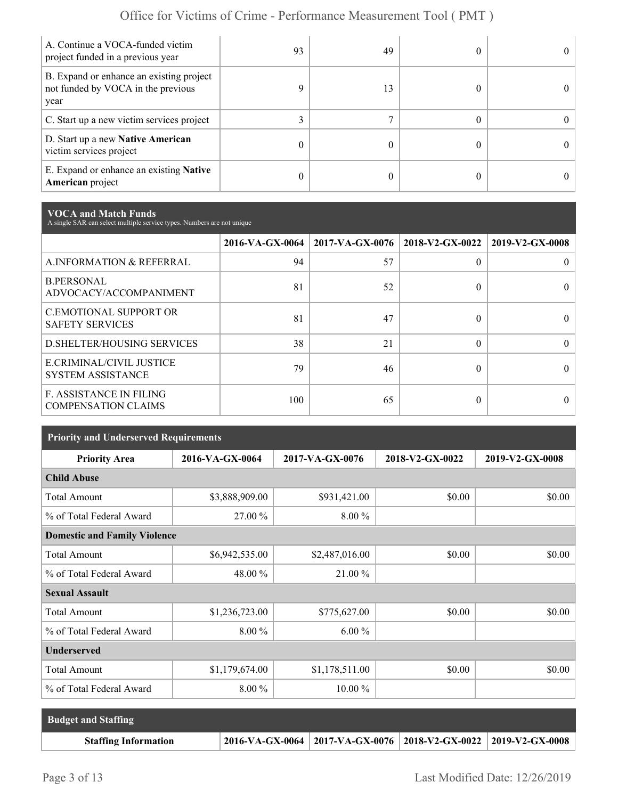| A. Continue a VOCA-funded victim<br>project funded in a previous year                  | 93 | 49 | 0          |
|----------------------------------------------------------------------------------------|----|----|------------|
| B. Expand or enhance an existing project<br>not funded by VOCA in the previous<br>year | Q  | 13 |            |
| C. Start up a new victim services project                                              |    |    | $^{\circ}$ |
| D. Start up a new Native American<br>victim services project                           | 0  |    |            |
| E. Expand or enhance an existing <b>Native</b><br>American project                     | 0  |    |            |

**VOCA and Match Funds** A single SAR can select multiple service types. Numbers are not unique

|                                                              | 2016-VA-GX-0064 | $2017-VA-GX-0076$ | 2018-V2-GX-0022 | 2019-V2-GX-0008 |
|--------------------------------------------------------------|-----------------|-------------------|-----------------|-----------------|
| A.INFORMATION & REFERRAL                                     | 94              | 57                | 0               |                 |
| <b>B.PERSONAL</b><br>ADVOCACY/ACCOMPANIMENT                  | 81              | 52                | 0               |                 |
| <b>C.EMOTIONAL SUPPORT OR</b><br><b>SAFETY SERVICES</b>      | 81              | 47                | 0               |                 |
| <b>D.SHELTER/HOUSING SERVICES</b>                            | 38              | 21                | $\Omega$        |                 |
| E.CRIMINAL/CIVIL JUSTICE<br><b>SYSTEM ASSISTANCE</b>         | 79              | 46                | 0               |                 |
| <b>F. ASSISTANCE IN FILING</b><br><b>COMPENSATION CLAIMS</b> | 100             | 65                | 0               |                 |

| <b>Priority and Underserved Requirements</b> |                 |                 |                 |                 |  |  |
|----------------------------------------------|-----------------|-----------------|-----------------|-----------------|--|--|
| <b>Priority Area</b>                         | 2016-VA-GX-0064 | 2017-VA-GX-0076 | 2018-V2-GX-0022 | 2019-V2-GX-0008 |  |  |
| <b>Child Abuse</b>                           |                 |                 |                 |                 |  |  |
| <b>Total Amount</b>                          | \$3,888,909.00  | \$931,421.00    | \$0.00          | \$0.00          |  |  |
| % of Total Federal Award                     | 27.00 %         | $8.00\%$        |                 |                 |  |  |
| <b>Domestic and Family Violence</b>          |                 |                 |                 |                 |  |  |
| <b>Total Amount</b>                          | \$6,942,535.00  | \$2,487,016.00  | \$0.00          | \$0.00          |  |  |
| % of Total Federal Award                     | 48.00 %         | 21.00 %         |                 |                 |  |  |
| <b>Sexual Assault</b>                        |                 |                 |                 |                 |  |  |
| <b>Total Amount</b>                          | \$1,236,723.00  | \$775,627.00    | \$0.00          | \$0.00          |  |  |
| % of Total Federal Award                     | 8.00 %          | $6.00\%$        |                 |                 |  |  |
| <b>Underserved</b>                           |                 |                 |                 |                 |  |  |
| <b>Total Amount</b>                          | \$1,179,674.00  | \$1,178,511.00  | \$0.00          | \$0.00          |  |  |
| % of Total Federal Award                     | 8.00 %          | 10.00 %         |                 |                 |  |  |

| <b>Budget and Staffing</b>  |                                                                       |  |
|-----------------------------|-----------------------------------------------------------------------|--|
| <b>Staffing Information</b> | 2016-VA-GX-0064   2017-VA-GX-0076   2018-V2-GX-0022   2019-V2-GX-0008 |  |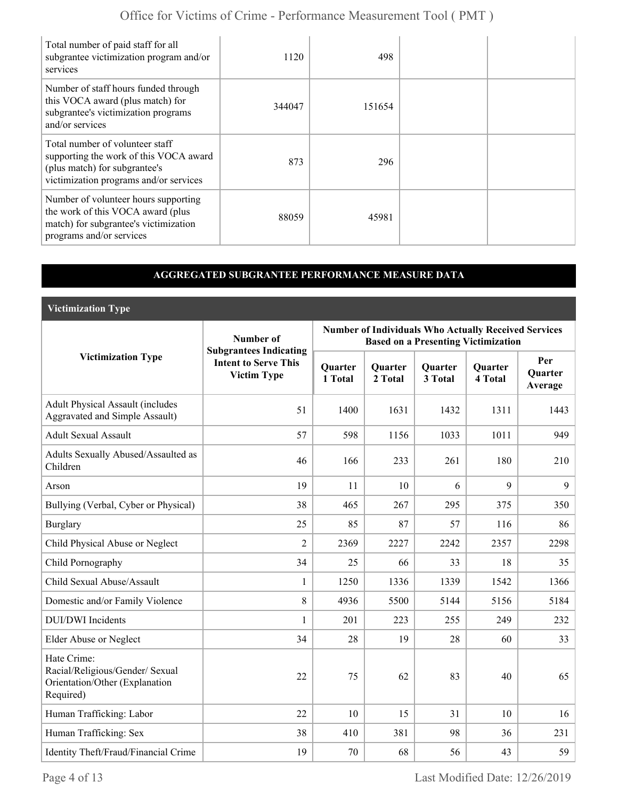| Total number of paid staff for all<br>subgrantee victimization program and/or<br>services                                                            | 1120   | 498    |  |
|------------------------------------------------------------------------------------------------------------------------------------------------------|--------|--------|--|
| Number of staff hours funded through<br>this VOCA award (plus match) for<br>subgrantee's victimization programs<br>and/or services                   | 344047 | 151654 |  |
| Total number of volunteer staff<br>supporting the work of this VOCA award<br>(plus match) for subgrantee's<br>victimization programs and/or services | 873    | 296    |  |
| Number of volunteer hours supporting<br>the work of this VOCA award (plus<br>match) for subgrantee's victimization<br>programs and/or services       | 88059  | 45981  |  |

### **AGGREGATED SUBGRANTEE PERFORMANCE MEASURE DATA**

**Victimization Type**

|                                                                                               | Number of                                                                          | <b>Number of Individuals Who Actually Received Services</b><br><b>Based on a Presenting Victimization</b> |                           |                           |                           |                                  |
|-----------------------------------------------------------------------------------------------|------------------------------------------------------------------------------------|-----------------------------------------------------------------------------------------------------------|---------------------------|---------------------------|---------------------------|----------------------------------|
| <b>Victimization Type</b>                                                                     | <b>Subgrantees Indicating</b><br><b>Intent to Serve This</b><br><b>Victim Type</b> | Quarter<br>1 Total                                                                                        | <b>Quarter</b><br>2 Total | <b>Quarter</b><br>3 Total | <b>Quarter</b><br>4 Total | Per<br><b>Ouarter</b><br>Average |
| <b>Adult Physical Assault (includes</b><br><b>Aggravated and Simple Assault)</b>              | 51                                                                                 | 1400                                                                                                      | 1631                      | 1432                      | 1311                      | 1443                             |
| <b>Adult Sexual Assault</b>                                                                   | 57                                                                                 | 598                                                                                                       | 1156                      | 1033                      | 1011                      | 949                              |
| Adults Sexually Abused/Assaulted as<br>Children                                               | 46                                                                                 | 166                                                                                                       | 233                       | 261                       | 180                       | 210                              |
| Arson                                                                                         | 19                                                                                 | 11                                                                                                        | 10                        | 6                         | 9                         | 9                                |
| Bullying (Verbal, Cyber or Physical)                                                          | 38                                                                                 | 465                                                                                                       | 267                       | 295                       | 375                       | 350                              |
| Burglary                                                                                      | 25                                                                                 | 85                                                                                                        | 87                        | 57                        | 116                       | 86                               |
| Child Physical Abuse or Neglect                                                               | $\overline{2}$                                                                     | 2369                                                                                                      | 2227                      | 2242                      | 2357                      | 2298                             |
| Child Pornography                                                                             | 34                                                                                 | 25                                                                                                        | 66                        | 33                        | 18                        | 35                               |
| Child Sexual Abuse/Assault                                                                    | $\mathbf{1}$                                                                       | 1250                                                                                                      | 1336                      | 1339                      | 1542                      | 1366                             |
| Domestic and/or Family Violence                                                               | 8                                                                                  | 4936                                                                                                      | 5500                      | 5144                      | 5156                      | 5184                             |
| <b>DUI/DWI</b> Incidents                                                                      | $\mathbf{1}$                                                                       | 201                                                                                                       | 223                       | 255                       | 249                       | 232                              |
| Elder Abuse or Neglect                                                                        | 34                                                                                 | 28                                                                                                        | 19                        | 28                        | 60                        | 33                               |
| Hate Crime:<br>Racial/Religious/Gender/ Sexual<br>Orientation/Other (Explanation<br>Required) | 22                                                                                 | 75                                                                                                        | 62                        | 83                        | 40                        | 65                               |
| Human Trafficking: Labor                                                                      | 22                                                                                 | 10                                                                                                        | 15                        | 31                        | 10                        | 16                               |
| Human Trafficking: Sex                                                                        | 38                                                                                 | 410                                                                                                       | 381                       | 98                        | 36                        | 231                              |
| Identity Theft/Fraud/Financial Crime                                                          | 19                                                                                 | 70                                                                                                        | 68                        | 56                        | 43                        | 59                               |

Page 4 of 13 Last Modified Date: 12/26/2019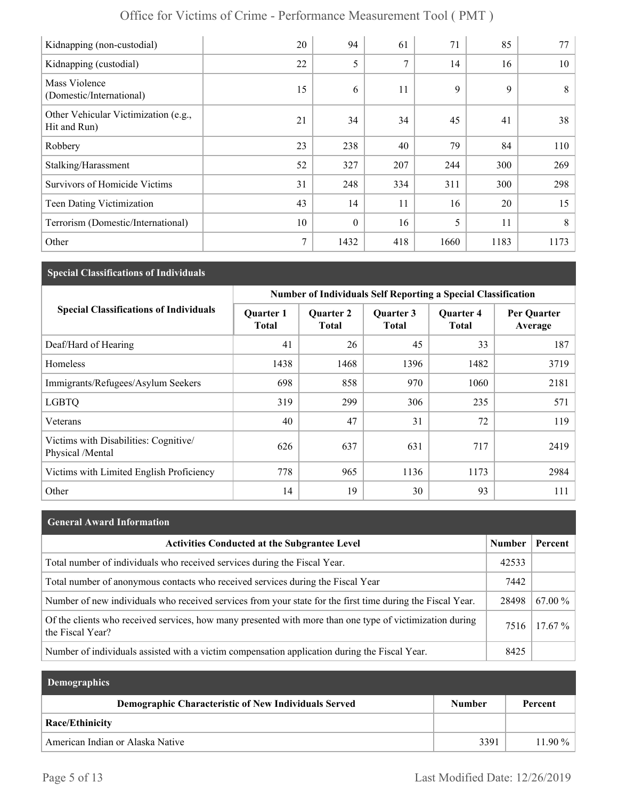| Office for Victims of Crime - Performance Measurement Tool (PMT) |  |
|------------------------------------------------------------------|--|
|------------------------------------------------------------------|--|

| Kidnapping (non-custodial)                           | 20 | 94               | 61  | 71   | 85   | 77   |
|------------------------------------------------------|----|------------------|-----|------|------|------|
| Kidnapping (custodial)                               | 22 | 5                | 7   | 14   | 16   | 10   |
| Mass Violence<br>(Domestic/International)            | 15 | 6                | 11  | 9    | 9    | 8    |
| Other Vehicular Victimization (e.g.,<br>Hit and Run) | 21 | 34               | 34  | 45   | 41   | 38   |
| Robbery                                              | 23 | 238              | 40  | 79   | 84   | 110  |
| Stalking/Harassment                                  | 52 | 327              | 207 | 244  | 300  | 269  |
| <b>Survivors of Homicide Victims</b>                 | 31 | 248              | 334 | 311  | 300  | 298  |
| Teen Dating Victimization                            | 43 | 14               | 11  | 16   | 20   | 15   |
| Terrorism (Domestic/International)                   | 10 | $\boldsymbol{0}$ | 16  | 5    | 11   | 8    |
| Other                                                | 7  | 1432             | 418 | 1660 | 1183 | 1173 |

### **Special Classifications of Individuals**

|                                                          | <b>Number of Individuals Self Reporting a Special Classification</b> |                                  |                           |                                  |                        |
|----------------------------------------------------------|----------------------------------------------------------------------|----------------------------------|---------------------------|----------------------------------|------------------------|
| <b>Special Classifications of Individuals</b>            | <b>Quarter 1</b><br><b>Total</b>                                     | <b>Quarter 2</b><br><b>Total</b> | Quarter 3<br><b>Total</b> | <b>Quarter 4</b><br><b>Total</b> | Per Quarter<br>Average |
| Deaf/Hard of Hearing                                     | 41                                                                   | 26                               | 45                        | 33                               | 187                    |
| <b>Homeless</b>                                          | 1438                                                                 | 1468                             | 1396                      | 1482                             | 3719                   |
| Immigrants/Refugees/Asylum Seekers                       | 698                                                                  | 858                              | 970                       | 1060                             | 2181                   |
| <b>LGBTQ</b>                                             | 319                                                                  | 299                              | 306                       | 235                              | 571                    |
| Veterans                                                 | 40                                                                   | 47                               | 31                        | 72                               | 119                    |
| Victims with Disabilities: Cognitive<br>Physical /Mental | 626                                                                  | 637                              | 631                       | 717                              | 2419                   |
| Victims with Limited English Proficiency                 | 778                                                                  | 965                              | 1136                      | 1173                             | 2984                   |
| Other                                                    | 14                                                                   | 19                               | 30                        | 93                               | 111                    |

| <b>General Award Information</b>                                                                                             |               |           |
|------------------------------------------------------------------------------------------------------------------------------|---------------|-----------|
| <b>Activities Conducted at the Subgrantee Level</b>                                                                          | <b>Number</b> | Percent   |
| Total number of individuals who received services during the Fiscal Year.                                                    | 42533         |           |
| Total number of anonymous contacts who received services during the Fiscal Year                                              | 7442          |           |
| Number of new individuals who received services from your state for the first time during the Fiscal Year.                   | 28498         | $67.00\%$ |
| Of the clients who received services, how many presented with more than one type of victimization during<br>the Fiscal Year? | 7516          | $17.67\%$ |
| Number of individuals assisted with a victim compensation application during the Fiscal Year.                                | 8425          |           |

| <b>Demographics</b>                                  |        |           |
|------------------------------------------------------|--------|-----------|
| Demographic Characteristic of New Individuals Served | Number | Percent   |
| Race/Ethinicity                                      |        |           |
| American Indian or Alaska Native                     | 3391   | $11.90\%$ |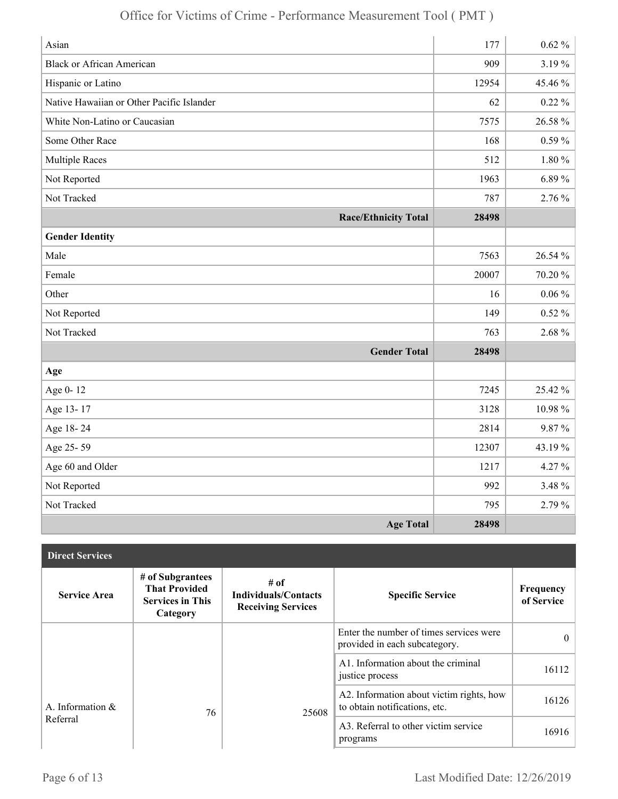| Asian                                     | 177   | $0.62 \%$   |
|-------------------------------------------|-------|-------------|
| <b>Black or African American</b>          | 909   | 3.19%       |
| Hispanic or Latino                        | 12954 | 45.46 %     |
| Native Hawaiian or Other Pacific Islander | 62    | $0.22\%$    |
| White Non-Latino or Caucasian             | 7575  | 26.58 %     |
| Some Other Race                           | 168   | $0.59\%$    |
| <b>Multiple Races</b>                     | 512   | $1.80 \%$   |
| Not Reported                              | 1963  | $6.89\%$    |
| Not Tracked                               | 787   | 2.76 %      |
| <b>Race/Ethnicity Total</b>               | 28498 |             |
| <b>Gender Identity</b>                    |       |             |
| Male                                      | 7563  | 26.54 %     |
| Female                                    | 20007 | 70.20%      |
| Other                                     | 16    | $0.06\%$    |
| Not Reported                              | 149   | $0.52\%$    |
| Not Tracked                               | 763   | 2.68 %      |
| <b>Gender Total</b>                       | 28498 |             |
| Age                                       |       |             |
| Age 0-12                                  | 7245  | 25.42 %     |
| Age 13-17                                 | 3128  | $10.98\,\%$ |
| Age 18-24                                 | 2814  | 9.87%       |
| Age 25-59                                 | 12307 | 43.19%      |
| Age 60 and Older                          | 1217  | 4.27%       |
| Not Reported                              | 992   | 3.48 %      |
| Not Tracked                               | 795   | 2.79 %      |
| <b>Age Total</b>                          | 28498 |             |

| <b>Direct Services</b> |                                                                                 |                                                                    |                                                                           |                         |
|------------------------|---------------------------------------------------------------------------------|--------------------------------------------------------------------|---------------------------------------------------------------------------|-------------------------|
| <b>Service Area</b>    | # of Subgrantees<br><b>That Provided</b><br><b>Services in This</b><br>Category | $#$ of<br><b>Individuals/Contacts</b><br><b>Receiving Services</b> | <b>Specific Service</b>                                                   | Frequency<br>of Service |
|                        |                                                                                 |                                                                    | Enter the number of times services were<br>provided in each subcategory.  | $\theta$                |
|                        |                                                                                 |                                                                    | A1. Information about the criminal<br>justice process                     | 16112                   |
| A. Information &       | 76                                                                              | 25608                                                              | A2. Information about victim rights, how<br>to obtain notifications, etc. | 16126                   |
| Referral               |                                                                                 |                                                                    | A3. Referral to other victim service<br>programs                          | 16916                   |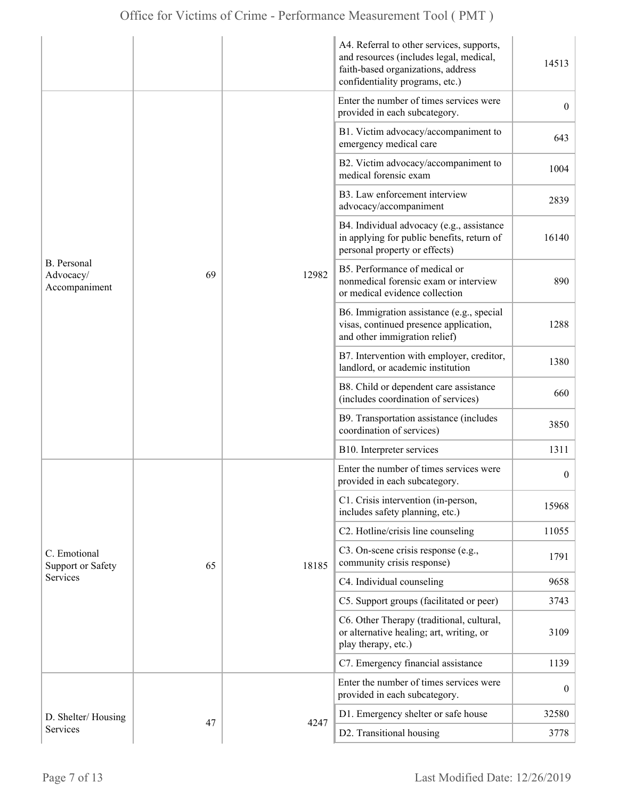|                                           |    |       | A4. Referral to other services, supports,<br>and resources (includes legal, medical,<br>faith-based organizations, address<br>confidentiality programs, etc.) | 14513            |
|-------------------------------------------|----|-------|---------------------------------------------------------------------------------------------------------------------------------------------------------------|------------------|
|                                           |    |       | Enter the number of times services were<br>provided in each subcategory.                                                                                      | $\overline{0}$   |
|                                           |    |       | B1. Victim advocacy/accompaniment to<br>emergency medical care                                                                                                | 643              |
|                                           |    |       | B2. Victim advocacy/accompaniment to<br>medical forensic exam                                                                                                 | 1004             |
|                                           |    |       | B3. Law enforcement interview<br>advocacy/accompaniment                                                                                                       | 2839             |
|                                           |    | 12982 | B4. Individual advocacy (e.g., assistance<br>in applying for public benefits, return of<br>personal property or effects)                                      | 16140            |
| B. Personal<br>Advocacy/<br>Accompaniment | 69 |       | B5. Performance of medical or<br>nonmedical forensic exam or interview<br>or medical evidence collection                                                      | 890              |
|                                           |    |       | B6. Immigration assistance (e.g., special<br>visas, continued presence application,<br>and other immigration relief)                                          | 1288             |
|                                           |    |       | B7. Intervention with employer, creditor,<br>landlord, or academic institution                                                                                | 1380             |
|                                           |    |       | B8. Child or dependent care assistance<br>(includes coordination of services)                                                                                 | 660              |
|                                           |    |       | B9. Transportation assistance (includes<br>coordination of services)                                                                                          | 3850             |
|                                           |    |       | B10. Interpreter services                                                                                                                                     | 1311             |
|                                           |    |       | Enter the number of times services were<br>provided in each subcategory.                                                                                      | $\boldsymbol{0}$ |
|                                           |    |       | C1. Crisis intervention (in-person,<br>includes safety planning, etc.)                                                                                        | 15968            |
|                                           |    |       | C2. Hotline/crisis line counseling                                                                                                                            | 11055            |
| C. Emotional<br><b>Support or Safety</b>  | 65 | 18185 | C3. On-scene crisis response (e.g.,<br>community crisis response)                                                                                             | 1791             |
| <b>Services</b>                           |    |       | C4. Individual counseling                                                                                                                                     | 9658             |
|                                           |    |       | C5. Support groups (facilitated or peer)                                                                                                                      | 3743             |
|                                           |    |       | C6. Other Therapy (traditional, cultural,<br>or alternative healing; art, writing, or<br>play therapy, etc.)                                                  | 3109             |
|                                           |    |       | C7. Emergency financial assistance                                                                                                                            | 1139             |
|                                           |    |       | Enter the number of times services were<br>provided in each subcategory.                                                                                      | $\mathbf{0}$     |
| D. Shelter/Housing                        |    | 4247  | D1. Emergency shelter or safe house                                                                                                                           | 32580            |
| Services                                  | 47 |       | D2. Transitional housing                                                                                                                                      | 3778             |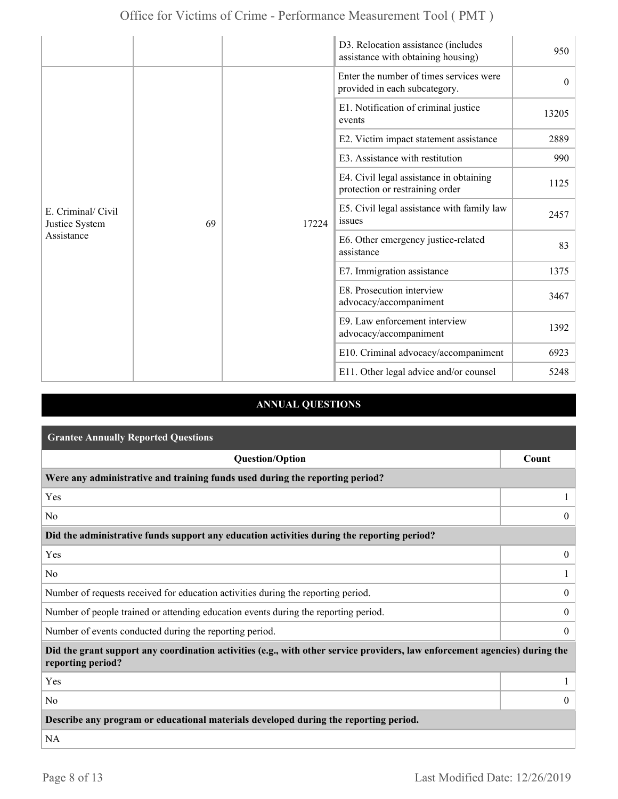|                                                    |    |       | D3. Relocation assistance (includes<br>assistance with obtaining housing)  | 950      |
|----------------------------------------------------|----|-------|----------------------------------------------------------------------------|----------|
| E. Criminal/ Civil<br>Justice System<br>Assistance |    |       | Enter the number of times services were<br>provided in each subcategory.   | $\theta$ |
|                                                    |    |       | E1. Notification of criminal justice<br>events                             | 13205    |
|                                                    |    |       | E2. Victim impact statement assistance                                     | 2889     |
|                                                    |    |       | E3. Assistance with restitution                                            | 990      |
|                                                    |    |       | E4. Civil legal assistance in obtaining<br>protection or restraining order | 1125     |
|                                                    | 69 | 17224 | E5. Civil legal assistance with family law<br>issues                       | 2457     |
|                                                    |    |       | E6. Other emergency justice-related<br>assistance                          | 83       |
|                                                    |    |       | E7. Immigration assistance                                                 | 1375     |
|                                                    |    |       | E8. Prosecution interview<br>advocacy/accompaniment                        | 3467     |
|                                                    |    |       | E9. Law enforcement interview<br>advocacy/accompaniment                    | 1392     |
|                                                    |    |       | E10. Criminal advocacy/accompaniment                                       | 6923     |
|                                                    |    |       | E11. Other legal advice and/or counsel                                     | 5248     |

### **ANNUAL QUESTIONS**

| <b>Grantee Annually Reported Questions</b>                                                                                                       |                  |  |
|--------------------------------------------------------------------------------------------------------------------------------------------------|------------------|--|
| <b>Question/Option</b>                                                                                                                           | Count            |  |
| Were any administrative and training funds used during the reporting period?                                                                     |                  |  |
| Yes                                                                                                                                              |                  |  |
| N <sub>0</sub>                                                                                                                                   | $\theta$         |  |
| Did the administrative funds support any education activities during the reporting period?                                                       |                  |  |
| Yes                                                                                                                                              | $\overline{0}$   |  |
| N <sub>0</sub>                                                                                                                                   |                  |  |
| Number of requests received for education activities during the reporting period.                                                                | $\overline{0}$   |  |
| Number of people trained or attending education events during the reporting period.                                                              | $\boldsymbol{0}$ |  |
| Number of events conducted during the reporting period.                                                                                          |                  |  |
| Did the grant support any coordination activities (e.g., with other service providers, law enforcement agencies) during the<br>reporting period? |                  |  |
| Yes                                                                                                                                              |                  |  |
| N <sub>0</sub>                                                                                                                                   | $\theta$         |  |
| Describe any program or educational materials developed during the reporting period.                                                             |                  |  |
| <b>NA</b>                                                                                                                                        |                  |  |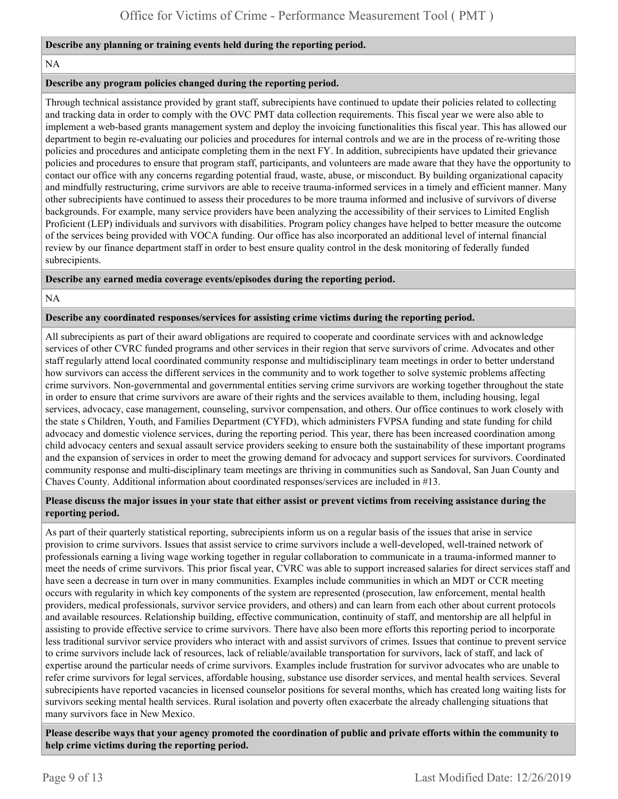#### **Describe any planning or training events held during the reporting period.**

#### NA

#### **Describe any program policies changed during the reporting period.**

Through technical assistance provided by grant staff, subrecipients have continued to update their policies related to collecting and tracking data in order to comply with the OVC PMT data collection requirements. This fiscal year we were also able to implement a web-based grants management system and deploy the invoicing functionalities this fiscal year. This has allowed our department to begin re-evaluating our policies and procedures for internal controls and we are in the process of re-writing those policies and procedures and anticipate completing them in the next FY. In addition, subrecipients have updated their grievance policies and procedures to ensure that program staff, participants, and volunteers are made aware that they have the opportunity to contact our office with any concerns regarding potential fraud, waste, abuse, or misconduct. By building organizational capacity and mindfully restructuring, crime survivors are able to receive trauma-informed services in a timely and efficient manner. Many other subrecipients have continued to assess their procedures to be more trauma informed and inclusive of survivors of diverse backgrounds. For example, many service providers have been analyzing the accessibility of their services to Limited English Proficient (LEP) individuals and survivors with disabilities. Program policy changes have helped to better measure the outcome of the services being provided with VOCA funding. Our office has also incorporated an additional level of internal financial review by our finance department staff in order to best ensure quality control in the desk monitoring of federally funded subrecipients.

#### **Describe any earned media coverage events/episodes during the reporting period.**

#### NA

#### **Describe any coordinated responses/services for assisting crime victims during the reporting period.**

All subrecipients as part of their award obligations are required to cooperate and coordinate services with and acknowledge services of other CVRC funded programs and other services in their region that serve survivors of crime. Advocates and other staff regularly attend local coordinated community response and multidisciplinary team meetings in order to better understand how survivors can access the different services in the community and to work together to solve systemic problems affecting crime survivors. Non-governmental and governmental entities serving crime survivors are working together throughout the state in order to ensure that crime survivors are aware of their rights and the services available to them, including housing, legal services, advocacy, case management, counseling, survivor compensation, and others. Our office continues to work closely with the state s Children, Youth, and Families Department (CYFD), which administers FVPSA funding and state funding for child advocacy and domestic violence services, during the reporting period. This year, there has been increased coordination among child advocacy centers and sexual assault service providers seeking to ensure both the sustainability of these important programs and the expansion of services in order to meet the growing demand for advocacy and support services for survivors. Coordinated community response and multi-disciplinary team meetings are thriving in communities such as Sandoval, San Juan County and Chaves County. Additional information about coordinated responses/services are included in #13.

#### **Please discuss the major issues in your state that either assist or prevent victims from receiving assistance during the reporting period.**

As part of their quarterly statistical reporting, subrecipients inform us on a regular basis of the issues that arise in service provision to crime survivors. Issues that assist service to crime survivors include a well-developed, well-trained network of professionals earning a living wage working together in regular collaboration to communicate in a trauma-informed manner to meet the needs of crime survivors. This prior fiscal year, CVRC was able to support increased salaries for direct services staff and have seen a decrease in turn over in many communities. Examples include communities in which an MDT or CCR meeting occurs with regularity in which key components of the system are represented (prosecution, law enforcement, mental health providers, medical professionals, survivor service providers, and others) and can learn from each other about current protocols and available resources. Relationship building, effective communication, continuity of staff, and mentorship are all helpful in assisting to provide effective service to crime survivors. There have also been more efforts this reporting period to incorporate less traditional survivor service providers who interact with and assist survivors of crimes. Issues that continue to prevent service to crime survivors include lack of resources, lack of reliable/available transportation for survivors, lack of staff, and lack of expertise around the particular needs of crime survivors. Examples include frustration for survivor advocates who are unable to refer crime survivors for legal services, affordable housing, substance use disorder services, and mental health services. Several subrecipients have reported vacancies in licensed counselor positions for several months, which has created long waiting lists for survivors seeking mental health services. Rural isolation and poverty often exacerbate the already challenging situations that many survivors face in New Mexico.

**Please describe ways that your agency promoted the coordination of public and private efforts within the community to help crime victims during the reporting period.**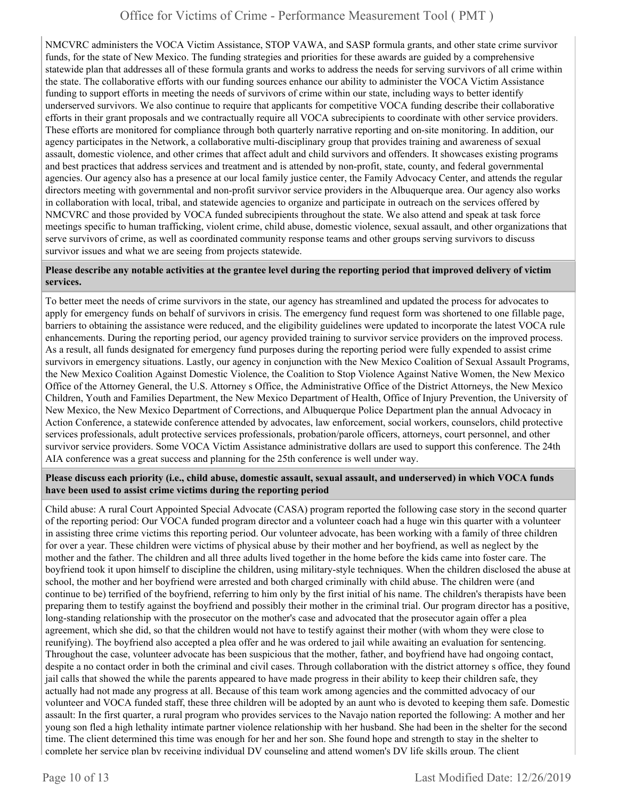NMCVRC administers the VOCA Victim Assistance, STOP VAWA, and SASP formula grants, and other state crime survivor funds, for the state of New Mexico. The funding strategies and priorities for these awards are guided by a comprehensive statewide plan that addresses all of these formula grants and works to address the needs for serving survivors of all crime within the state. The collaborative efforts with our funding sources enhance our ability to administer the VOCA Victim Assistance funding to support efforts in meeting the needs of survivors of crime within our state, including ways to better identify underserved survivors. We also continue to require that applicants for competitive VOCA funding describe their collaborative efforts in their grant proposals and we contractually require all VOCA subrecipients to coordinate with other service providers. These efforts are monitored for compliance through both quarterly narrative reporting and on-site monitoring. In addition, our agency participates in the Network, a collaborative multi-disciplinary group that provides training and awareness of sexual assault, domestic violence, and other crimes that affect adult and child survivors and offenders. It showcases existing programs and best practices that address services and treatment and is attended by non-profit, state, county, and federal governmental agencies. Our agency also has a presence at our local family justice center, the Family Advocacy Center, and attends the regular directors meeting with governmental and non-profit survivor service providers in the Albuquerque area. Our agency also works in collaboration with local, tribal, and statewide agencies to organize and participate in outreach on the services offered by NMCVRC and those provided by VOCA funded subrecipients throughout the state. We also attend and speak at task force meetings specific to human trafficking, violent crime, child abuse, domestic violence, sexual assault, and other organizations that serve survivors of crime, as well as coordinated community response teams and other groups serving survivors to discuss survivor issues and what we are seeing from projects statewide.

#### **Please describe any notable activities at the grantee level during the reporting period that improved delivery of victim services.**

To better meet the needs of crime survivors in the state, our agency has streamlined and updated the process for advocates to apply for emergency funds on behalf of survivors in crisis. The emergency fund request form was shortened to one fillable page, barriers to obtaining the assistance were reduced, and the eligibility guidelines were updated to incorporate the latest VOCA rule enhancements. During the reporting period, our agency provided training to survivor service providers on the improved process. As a result, all funds designated for emergency fund purposes during the reporting period were fully expended to assist crime survivors in emergency situations. Lastly, our agency in conjunction with the New Mexico Coalition of Sexual Assault Programs, the New Mexico Coalition Against Domestic Violence, the Coalition to Stop Violence Against Native Women, the New Mexico Office of the Attorney General, the U.S. Attorney s Office, the Administrative Office of the District Attorneys, the New Mexico Children, Youth and Families Department, the New Mexico Department of Health, Office of Injury Prevention, the University of New Mexico, the New Mexico Department of Corrections, and Albuquerque Police Department plan the annual Advocacy in Action Conference, a statewide conference attended by advocates, law enforcement, social workers, counselors, child protective services professionals, adult protective services professionals, probation/parole officers, attorneys, court personnel, and other survivor service providers. Some VOCA Victim Assistance administrative dollars are used to support this conference. The 24th AIA conference was a great success and planning for the 25th conference is well under way.

#### **Please discuss each priority (i.e., child abuse, domestic assault, sexual assault, and underserved) in which VOCA funds have been used to assist crime victims during the reporting period**

Child abuse: A rural Court Appointed Special Advocate (CASA) program reported the following case story in the second quarter of the reporting period: Our VOCA funded program director and a volunteer coach had a huge win this quarter with a volunteer in assisting three crime victims this reporting period. Our volunteer advocate, has been working with a family of three children for over a year. These children were victims of physical abuse by their mother and her boyfriend, as well as neglect by the mother and the father. The children and all three adults lived together in the home before the kids came into foster care. The boyfriend took it upon himself to discipline the children, using military-style techniques. When the children disclosed the abuse at school, the mother and her boyfriend were arrested and both charged criminally with child abuse. The children were (and continue to be) terrified of the boyfriend, referring to him only by the first initial of his name. The children's therapists have been preparing them to testify against the boyfriend and possibly their mother in the criminal trial. Our program director has a positive, long-standing relationship with the prosecutor on the mother's case and advocated that the prosecutor again offer a plea agreement, which she did, so that the children would not have to testify against their mother (with whom they were close to reunifying). The boyfriend also accepted a plea offer and he was ordered to jail while awaiting an evaluation for sentencing. Throughout the case, volunteer advocate has been suspicious that the mother, father, and boyfriend have had ongoing contact, despite a no contact order in both the criminal and civil cases. Through collaboration with the district attorney s office, they found jail calls that showed the while the parents appeared to have made progress in their ability to keep their children safe, they actually had not made any progress at all. Because of this team work among agencies and the committed advocacy of our volunteer and VOCA funded staff, these three children will be adopted by an aunt who is devoted to keeping them safe. Domestic assault: In the first quarter, a rural program who provides services to the Navajo nation reported the following: A mother and her young son fled a high lethality intimate partner violence relationship with her husband. She had been in the shelter for the second time. The client determined this time was enough for her and her son. She found hope and strength to stay in the shelter to complete her service plan by receiving individual DV counseling and attend women's DV life skills group. The client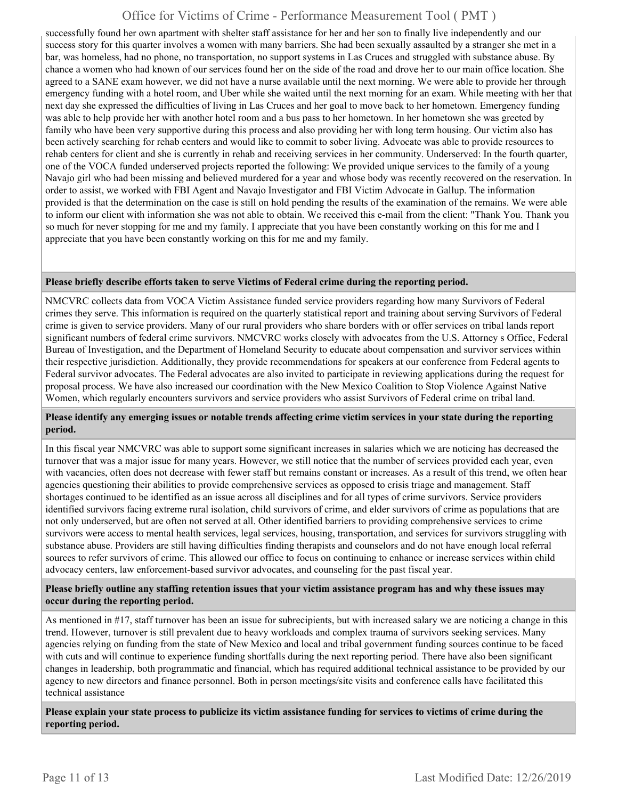successfully found her own apartment with shelter staff assistance for her and her son to finally live independently and our success story for this quarter involves a women with many barriers. She had been sexually assaulted by a stranger she met in a bar, was homeless, had no phone, no transportation, no support systems in Las Cruces and struggled with substance abuse. By chance a women who had known of our services found her on the side of the road and drove her to our main office location. She agreed to a SANE exam however, we did not have a nurse available until the next morning. We were able to provide her through emergency funding with a hotel room, and Uber while she waited until the next morning for an exam. While meeting with her that next day she expressed the difficulties of living in Las Cruces and her goal to move back to her hometown. Emergency funding was able to help provide her with another hotel room and a bus pass to her hometown. In her hometown she was greeted by family who have been very supportive during this process and also providing her with long term housing. Our victim also has been actively searching for rehab centers and would like to commit to sober living. Advocate was able to provide resources to rehab centers for client and she is currently in rehab and receiving services in her community. Underserved: In the fourth quarter, one of the VOCA funded underserved projects reported the following: We provided unique services to the family of a young Navajo girl who had been missing and believed murdered for a year and whose body was recently recovered on the reservation. In order to assist, we worked with FBI Agent and Navajo Investigator and FBI Victim Advocate in Gallup. The information provided is that the determination on the case is still on hold pending the results of the examination of the remains. We were able to inform our client with information she was not able to obtain. We received this e-mail from the client: "Thank You. Thank you so much for never stopping for me and my family. I appreciate that you have been constantly working on this for me and I appreciate that you have been constantly working on this for me and my family.

#### **Please briefly describe efforts taken to serve Victims of Federal crime during the reporting period.**

NMCVRC collects data from VOCA Victim Assistance funded service providers regarding how many Survivors of Federal crimes they serve. This information is required on the quarterly statistical report and training about serving Survivors of Federal crime is given to service providers. Many of our rural providers who share borders with or offer services on tribal lands report significant numbers of federal crime survivors. NMCVRC works closely with advocates from the U.S. Attorney s Office, Federal Bureau of Investigation, and the Department of Homeland Security to educate about compensation and survivor services within their respective jurisdiction. Additionally, they provide recommendations for speakers at our conference from Federal agents to Federal survivor advocates. The Federal advocates are also invited to participate in reviewing applications during the request for proposal process. We have also increased our coordination with the New Mexico Coalition to Stop Violence Against Native Women, which regularly encounters survivors and service providers who assist Survivors of Federal crime on tribal land.

#### **Please identify any emerging issues or notable trends affecting crime victim services in your state during the reporting period.**

In this fiscal year NMCVRC was able to support some significant increases in salaries which we are noticing has decreased the turnover that was a major issue for many years. However, we still notice that the number of services provided each year, even with vacancies, often does not decrease with fewer staff but remains constant or increases. As a result of this trend, we often hear agencies questioning their abilities to provide comprehensive services as opposed to crisis triage and management. Staff shortages continued to be identified as an issue across all disciplines and for all types of crime survivors. Service providers identified survivors facing extreme rural isolation, child survivors of crime, and elder survivors of crime as populations that are not only underserved, but are often not served at all. Other identified barriers to providing comprehensive services to crime survivors were access to mental health services, legal services, housing, transportation, and services for survivors struggling with substance abuse. Providers are still having difficulties finding therapists and counselors and do not have enough local referral sources to refer survivors of crime. This allowed our office to focus on continuing to enhance or increase services within child advocacy centers, law enforcement-based survivor advocates, and counseling for the past fiscal year.

#### **Please briefly outline any staffing retention issues that your victim assistance program has and why these issues may occur during the reporting period.**

As mentioned in #17, staff turnover has been an issue for subrecipients, but with increased salary we are noticing a change in this trend. However, turnover is still prevalent due to heavy workloads and complex trauma of survivors seeking services. Many agencies relying on funding from the state of New Mexico and local and tribal government funding sources continue to be faced with cuts and will continue to experience funding shortfalls during the next reporting period. There have also been significant changes in leadership, both programmatic and financial, which has required additional technical assistance to be provided by our agency to new directors and finance personnel. Both in person meetings/site visits and conference calls have facilitated this technical assistance

**Please explain your state process to publicize its victim assistance funding for services to victims of crime during the reporting period.**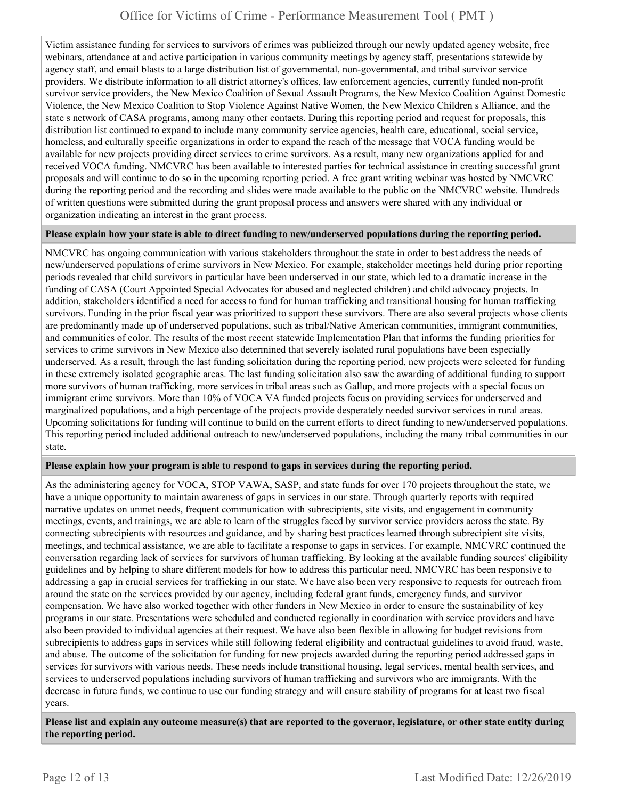Victim assistance funding for services to survivors of crimes was publicized through our newly updated agency website, free webinars, attendance at and active participation in various community meetings by agency staff, presentations statewide by agency staff, and email blasts to a large distribution list of governmental, non-governmental, and tribal survivor service providers. We distribute information to all district attorney's offices, law enforcement agencies, currently funded non-profit survivor service providers, the New Mexico Coalition of Sexual Assault Programs, the New Mexico Coalition Against Domestic Violence, the New Mexico Coalition to Stop Violence Against Native Women, the New Mexico Children s Alliance, and the state s network of CASA programs, among many other contacts. During this reporting period and request for proposals, this distribution list continued to expand to include many community service agencies, health care, educational, social service, homeless, and culturally specific organizations in order to expand the reach of the message that VOCA funding would be available for new projects providing direct services to crime survivors. As a result, many new organizations applied for and received VOCA funding. NMCVRC has been available to interested parties for technical assistance in creating successful grant proposals and will continue to do so in the upcoming reporting period. A free grant writing webinar was hosted by NMCVRC during the reporting period and the recording and slides were made available to the public on the NMCVRC website. Hundreds of written questions were submitted during the grant proposal process and answers were shared with any individual or organization indicating an interest in the grant process.

#### **Please explain how your state is able to direct funding to new/underserved populations during the reporting period.**

NMCVRC has ongoing communication with various stakeholders throughout the state in order to best address the needs of new/underserved populations of crime survivors in New Mexico. For example, stakeholder meetings held during prior reporting periods revealed that child survivors in particular have been underserved in our state, which led to a dramatic increase in the funding of CASA (Court Appointed Special Advocates for abused and neglected children) and child advocacy projects. In addition, stakeholders identified a need for access to fund for human trafficking and transitional housing for human trafficking survivors. Funding in the prior fiscal year was prioritized to support these survivors. There are also several projects whose clients are predominantly made up of underserved populations, such as tribal/Native American communities, immigrant communities, and communities of color. The results of the most recent statewide Implementation Plan that informs the funding priorities for services to crime survivors in New Mexico also determined that severely isolated rural populations have been especially underserved. As a result, through the last funding solicitation during the reporting period, new projects were selected for funding in these extremely isolated geographic areas. The last funding solicitation also saw the awarding of additional funding to support more survivors of human trafficking, more services in tribal areas such as Gallup, and more projects with a special focus on immigrant crime survivors. More than 10% of VOCA VA funded projects focus on providing services for underserved and marginalized populations, and a high percentage of the projects provide desperately needed survivor services in rural areas. Upcoming solicitations for funding will continue to build on the current efforts to direct funding to new/underserved populations. This reporting period included additional outreach to new/underserved populations, including the many tribal communities in our state.

#### **Please explain how your program is able to respond to gaps in services during the reporting period.**

As the administering agency for VOCA, STOP VAWA, SASP, and state funds for over 170 projects throughout the state, we have a unique opportunity to maintain awareness of gaps in services in our state. Through quarterly reports with required narrative updates on unmet needs, frequent communication with subrecipients, site visits, and engagement in community meetings, events, and trainings, we are able to learn of the struggles faced by survivor service providers across the state. By connecting subrecipients with resources and guidance, and by sharing best practices learned through subrecipient site visits, meetings, and technical assistance, we are able to facilitate a response to gaps in services. For example, NMCVRC continued the conversation regarding lack of services for survivors of human trafficking. By looking at the available funding sources' eligibility guidelines and by helping to share different models for how to address this particular need, NMCVRC has been responsive to addressing a gap in crucial services for trafficking in our state. We have also been very responsive to requests for outreach from around the state on the services provided by our agency, including federal grant funds, emergency funds, and survivor compensation. We have also worked together with other funders in New Mexico in order to ensure the sustainability of key programs in our state. Presentations were scheduled and conducted regionally in coordination with service providers and have also been provided to individual agencies at their request. We have also been flexible in allowing for budget revisions from subrecipients to address gaps in services while still following federal eligibility and contractual guidelines to avoid fraud, waste, and abuse. The outcome of the solicitation for funding for new projects awarded during the reporting period addressed gaps in services for survivors with various needs. These needs include transitional housing, legal services, mental health services, and services to underserved populations including survivors of human trafficking and survivors who are immigrants. With the decrease in future funds, we continue to use our funding strategy and will ensure stability of programs for at least two fiscal years.

**Please list and explain any outcome measure(s) that are reported to the governor, legislature, or other state entity during the reporting period.**